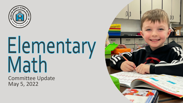

# Elementary<br>Math

Committee Update May 5, 2022

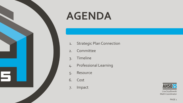

## **AGENDA**

- 1. Strategic Plan Connection
- 2. Committee
- 3. Timeline
- 4. Professional Learning
- 5. Resource
- 6. Cost
- 7. Impact



Lisa Szydlowski Math Coordinator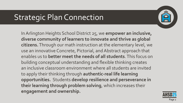## Strategic Plan Connection



In Arlington Heights School District 25, we **empower an inclusive, diverse community of learners to innovate and thrive as global citizens.** Through our math instruction at the elementary level, we use an innovative Concrete, Pictorial, and Abstract approach that enables us to **better meet the needs of all students**. This focus on building conceptual understanding and flexible thinking creates an inclusive classroom environment where all students are invited to apply their thinking through **authentic-real life learning opportunities.** Students **develop resilience and perseverance in their learning through problem solving**, which increases their **engagement and ownership.**

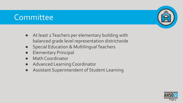## **Committee**



- Special Education & Multilingual Teachers
- **Elementary Principal**
- Math Coordinator
- Advanced Learning Coordinator
- Assistant Superintendent of Student Learning



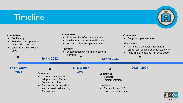## Timeline



#### Page 4

 $\overline{25}$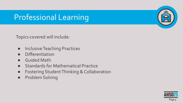## Professional Learning

Topics covered will include:

- Inclusive Teaching Practices
- Differentiation
- Guided Math
- Standards for Mathematical Practice
- Fostering Student Thinking & Collaboration
- Problem Solving



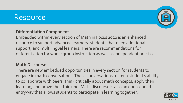## **Resource**



#### **Differentiation Component**

Embedded within every section of Math in Focus 2020 is an enhanced resource to support advanced learners, students that need additional support, and multilingual learners. There are recommendations for differentiation for whole group instruction as well as independent practice.

#### **Math Discourse**

There are new embedded opportunities in every section for students to engage in math conversations. These conversations foster a student's ability to collaborate with peers, think critically about math concepts, apply their learning, and prove their thinking. Math discourse is also an open-ended entryway that allows students to participate in learning together.

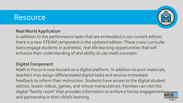### **Resource**



#### **Real World Application**

In addition to the performance tasks that are embedded in our current edition, there is a new STEAM component in the updated edition. These cross-curricular tasks engage students in authentic, real-life learning opportunities that will enhance their understanding of and ability to use math concepts.

#### **Digital Component**

Math in Focus is now housed on a digital platform. In addition to print materials, teachers may assign differentiated digital tasks and receive immediate feedback to inform their instruction. Students have access to the digital student edition, lesson videos, games, and virtual manipulatives. Families can visit the digital "family room" that provides information to enhance family engagementand partnership in their child's learning.

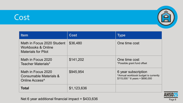## Cost



| <b>Item</b>                                                                    | <b>Cost</b> | <b>Type</b>                                                                                            |
|--------------------------------------------------------------------------------|-------------|--------------------------------------------------------------------------------------------------------|
| Math in Focus 2020 Student<br>Workbooks & Online<br><b>Materials for Pilot</b> | \$36,480    | One time cost                                                                                          |
| Math in Focus 2020<br>Teacher Materials*                                       | \$141,202   | One time cost<br>*Possible grant fund offset                                                           |
| Math in Focus 2020<br>Consumable Materials &<br>Online Access <sup>^</sup>     | \$945,954   | 6 year subscription<br>^Annual workbook budget is currently<br>$$115,000 * 6 \text{ years} = $690,000$ |
| <b>Total</b>                                                                   | \$1,123,636 |                                                                                                        |



Net 6 year additional financial impact = \$433,636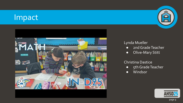## Impact



#### Lynda Mueller

- 2nd Grade Teacher
- Olive-Mary Stitt

#### Christina Dastice

- 5th Grade Teacher
- Windsor



25